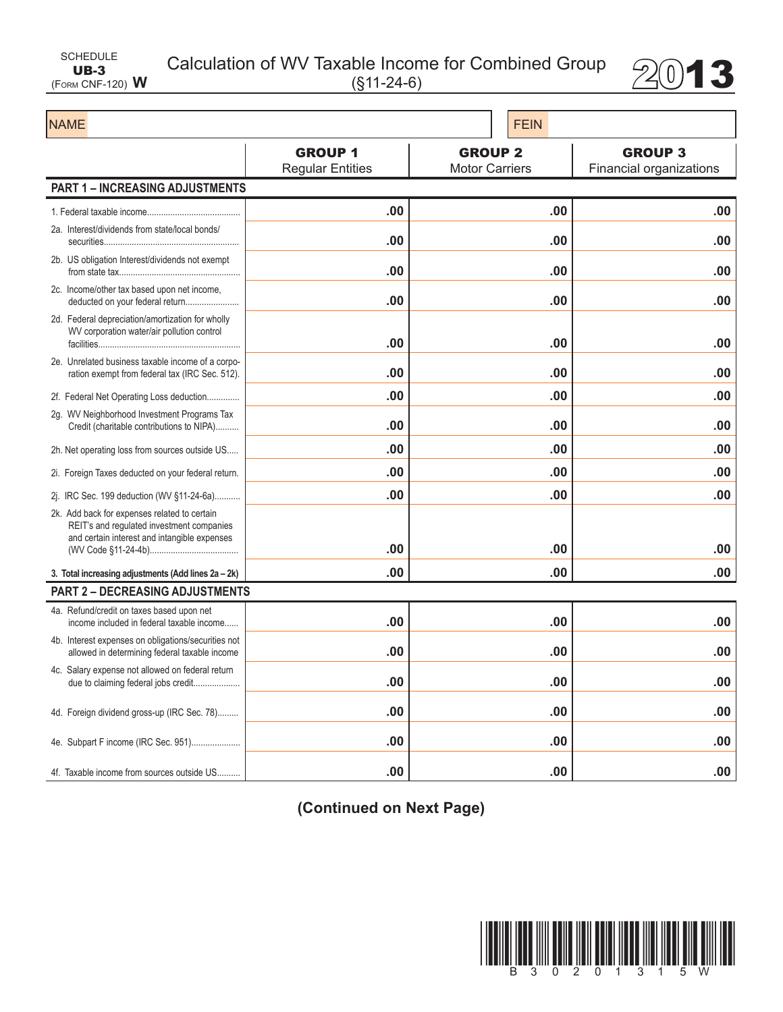| SCHEDULE                |  |
|-------------------------|--|
| $UB-3$                  |  |
| (FORM CNF-120) $\bm{W}$ |  |

Calculation of WV Taxable Income for Combined Group  $2013$ 



| <b>NAME</b>                                                                                                                               |                                           | <b>FEIN</b>                             |                                           |  |
|-------------------------------------------------------------------------------------------------------------------------------------------|-------------------------------------------|-----------------------------------------|-------------------------------------------|--|
|                                                                                                                                           | <b>GROUP 1</b><br><b>Regular Entities</b> | <b>GROUP 2</b><br><b>Motor Carriers</b> | <b>GROUP 3</b><br>Financial organizations |  |
| <b>PART 1 - INCREASING ADJUSTMENTS</b>                                                                                                    |                                           |                                         |                                           |  |
|                                                                                                                                           | .00                                       | .00                                     | .00                                       |  |
| 2a. Interest/dividends from state/local bonds/                                                                                            | .00                                       | .00                                     | .00                                       |  |
| 2b. US obligation Interest/dividends not exempt                                                                                           | .00                                       | .00                                     | .00                                       |  |
| 2c. Income/other tax based upon net income,<br>deducted on your federal return                                                            | .00                                       | .00                                     | .00                                       |  |
| 2d. Federal depreciation/amortization for wholly<br>WV corporation water/air pollution control                                            | .00                                       | .00                                     | .00                                       |  |
| 2e. Unrelated business taxable income of a corpo-<br>ration exempt from federal tax (IRC Sec. 512).                                       | .00                                       | .00                                     | .00                                       |  |
| 2f. Federal Net Operating Loss deduction                                                                                                  | .00                                       | .00                                     | .00                                       |  |
| 2g. WV Neighborhood Investment Programs Tax<br>Credit (charitable contributions to NIPA)                                                  | .00                                       | .00                                     | .00                                       |  |
| 2h. Net operating loss from sources outside US                                                                                            | .00                                       | .00                                     | .00                                       |  |
| 2i. Foreign Taxes deducted on your federal return.                                                                                        | .00                                       | .00                                     | .00                                       |  |
| 2j. IRC Sec. 199 deduction (WV §11-24-6a)                                                                                                 | .00                                       | .00                                     | .00                                       |  |
| 2k. Add back for expenses related to certain<br>REIT's and regulated investment companies<br>and certain interest and intangible expenses |                                           |                                         |                                           |  |
|                                                                                                                                           | .00                                       | .00                                     | .00                                       |  |
| 3. Total increasing adjustments (Add lines 2a - 2k)<br><b>PART 2 - DECREASING ADJUSTMENTS</b>                                             | .00                                       | .00                                     | .00                                       |  |
| 4a. Refund/credit on taxes based upon net                                                                                                 |                                           |                                         |                                           |  |
| income included in federal taxable income                                                                                                 | .00                                       | .00                                     | .00                                       |  |
| 4b. Interest expenses on obligations/securities not<br>allowed in determining federal taxable income                                      | .00                                       | .00                                     | .00                                       |  |
| 4c. Salary expense not allowed on federal return<br>due to claiming federal jobs credit                                                   | .00                                       | .00                                     | .00                                       |  |
| 4d. Foreign dividend gross-up (IRC Sec. 78)                                                                                               | .00                                       | .00                                     | .00                                       |  |
|                                                                                                                                           | .00                                       | .00                                     | .00                                       |  |
| 4f. Taxable income from sources outside US                                                                                                | .00                                       | .00                                     | .00                                       |  |

**(Continued on Next Page)**